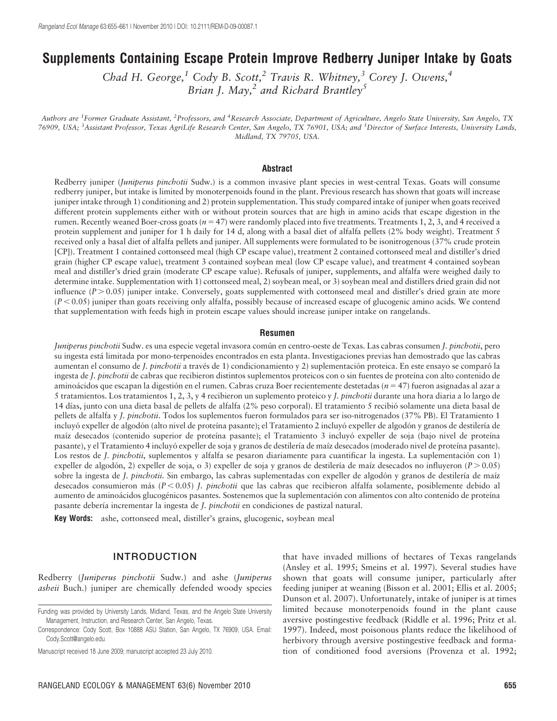# Supplements Containing Escape Protein Improve Redberry Juniper Intake by Goats

Chad H. George,<sup>1</sup> Cody B. Scott,<sup>2</sup> Travis R. Whitney,<sup>3</sup> Corey J. Owens,<sup>4</sup> Brian J. May, $^2$  and Richard Brantley<sup>5</sup>

Authors are <sup>1</sup>Former Graduate Assistant, <sup>2</sup>Professors, and <sup>4</sup>Research Associate, Department of Agriculture, Angelo State University, San Angelo, TX 76909, USA; <sup>3</sup>Assistant Professor, Texas AgriLife Research Center, San Angelo, TX 76901, USA; and <sup>5</sup>Director of Surface Interests, University Lands, Midland, TX 79705, USA.

#### Abstract

Redberry juniper (Juniperus pinchotii Sudw.) is a common invasive plant species in west-central Texas. Goats will consume redberry juniper, but intake is limited by monoterpenoids found in the plant. Previous research has shown that goats will increase juniper intake through 1) conditioning and 2) protein supplementation. This study compared intake of juniper when goats received different protein supplements either with or without protein sources that are high in amino acids that escape digestion in the rumen. Recently weaned Boer-cross goats ( $n = 47$ ) were randomly placed into five treatments. Treatments 1, 2, 3, and 4 received a protein supplement and juniper for 1 h daily for 14 d, along with a basal diet of alfalfa pellets (2% body weight). Treatment 5 received only a basal diet of alfalfa pellets and juniper. All supplements were formulated to be isonitrogenous (37% crude protein [CP]). Treatment 1 contained cottonseed meal (high CP escape value), treatment 2 contained cottonseed meal and distiller's dried grain (higher CP escape value), treatment 3 contained soybean meal (low CP escape value), and treatment 4 contained soybean meal and distiller's dried grain (moderate CP escape value). Refusals of juniper, supplements, and alfalfa were weighed daily to determine intake. Supplementation with 1) cottonseed meal, 2) soybean meal, or 3) soybean meal and distillers dried grain did not influence  $(P > 0.05)$  juniper intake. Conversely, goats supplemented with cottonseed meal and distiller's dried grain ate more  $(P<0.05)$  juniper than goats receiving only alfalfa, possibly because of increased escape of glucogenic amino acids. We contend that supplementation with feeds high in protein escape values should increase juniper intake on rangelands.

#### Resumen

Juniperus pinchotii Sudw. es una especie vegetal invasora común en centro-oeste de Texas. Las cabras consumen J. pinchotii, pero su ingesta esta´ limitada por mono-terpenoides encontrados en esta planta. Investigaciones previas han demostrado que las cabras aumentan el consumo de J. pinchotii a través de 1) condicionamiento y 2) suplementación proteica. En este ensayo se comparó la ingesta de J. pinchotii de cabras que recibieron distintos suplementos proteicos con o sin fuentes de proteína con alto contenido de aminoácidos que escapan la digestión en el rumen. Cabras cruza Boer recientemente destetadas ( $n = 47$ ) fueron asignadas al azar a 5 tratamientos. Los tratamientos 1, 2, 3, y 4 recibieron un suplemento proteico y J. pinchotii durante una hora diaria a lo largo de 14 dı´as, junto con una dieta basal de pellets de alfalfa (2% peso corporal). El tratamiento 5 recibio´ solamente una dieta basal de pellets de alfalfa y J. pinchotii. Todos los suplementos fueron formulados para ser iso-nitrogenados (37% PB). El Tratamiento 1 incluyó expeller de algodón (alto nivel de proteína pasante); el Tratamiento 2 incluyó expeller de algodón y granos de destilería de maíz desecados (contenido superior de proteína pasante); el Tratamiento 3 incluyó expeller de soja (bajo nivel de proteína pasante), y el Tratamiento 4 incluyó expeller de soja y granos de destilería de maíz desecados (moderado nivel de proteína pasante). Los restos de J. pinchotii, suplementos y alfalfa se pesaron diariamente para cuantificar la ingesta. La suplementación con 1) expeller de algodón, 2) expeller de soja, o 3) expeller de soja y granos de destilería de maíz desecados no influyeron ( $P > 0.05$ ) sobre la ingesta de J. pinchotii. Sin embargo, las cabras suplementadas con expeller de algodón y granos de destilería de maíz desecados consumieron más ( $P < 0.05$ ) J. *pinchotii* que las cabras que recibieron alfalfa solamente, posiblemente debido al aumento de aminoácidos glucogénicos pasantes. Sostenemos que la suplementación con alimentos con alto contenido de proteína pasante debería incrementar la ingesta de J. pinchotii en condiciones de pastizal natural.

Key Words: ashe, cottonseed meal, distiller's grains, glucogenic, soybean meal

## INTRODUCTION

Redberry (Juniperus pinchotii Sudw.) and ashe (Juniperus asheii Buch.) juniper are chemically defended woody species

Manuscript received 18 June 2009; manuscript accepted 23 July 2010.

that have invaded millions of hectares of Texas rangelands (Ansley et al. 1995; Smeins et al. 1997). Several studies have shown that goats will consume juniper, particularly after feeding juniper at weaning (Bisson et al. 2001; Ellis et al. 2005; Dunson et al. 2007). Unfortunately, intake of juniper is at times limited because monoterpenoids found in the plant cause aversive postingestive feedback (Riddle et al. 1996; Pritz et al. 1997). Indeed, most poisonous plants reduce the likelihood of herbivory through aversive postingestive feedback and formation of conditioned food aversions (Provenza et al. 1992;

Funding was provided by University Lands, Midland, Texas, and the Angelo State University Management, Instruction, and Research Center, San Angelo, Texas.

Correspondence: Cody Scott, Box 10888 ASU Station, San Angelo, TX 76909, USA. Email: Cody.Scott@angelo.edu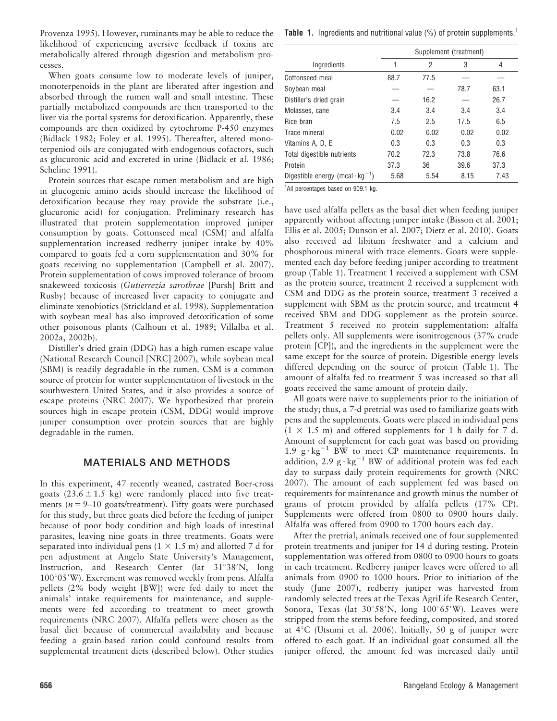Provenza 1995). However, ruminants may be able to reduce the likelihood of experiencing aversive feedback if toxins are metabolically altered through digestion and metabolism processes.

When goats consume low to moderate levels of juniper, monoterpenoids in the plant are liberated after ingestion and absorbed through the rumen wall and small intestine. These partially metabolized compounds are then transported to the liver via the portal systems for detoxification. Apparently, these compounds are then oxidized by cytochrome P-450 enzymes (Bidlack 1982; Foley et al. 1995). Thereafter, altered monoterpeniod oils are conjugated with endogenous cofactors, such as glucuronic acid and excreted in urine (Bidlack et al. 1986; Scheline 1991).

Protein sources that escape rumen metabolism and are high in glucogenic amino acids should increase the likelihood of detoxification because they may provide the substrate (i.e., glucuronic acid) for conjugation. Preliminary research has illustrated that protein supplementation improved juniper consumption by goats. Cottonseed meal (CSM) and alfalfa supplementation increased redberry juniper intake by 40% compared to goats fed a corn supplementation and 30% for goats receiving no supplementation (Campbell et al. 2007). Protein supplementation of cows improved tolerance of broom snakeweed toxicosis (Gutierrezia sarothrae [Pursh] Britt and Rusby) because of increased liver capacity to conjugate and eliminate xenobiotics (Strickland et al. 1998). Supplementation with soybean meal has also improved detoxification of some other poisonous plants (Calhoun et al. 1989; Villalba et al. 2002a, 2002b).

Distiller's dried grain (DDG) has a high rumen escape value (National Research Council [NRC] 2007), while soybean meal (SBM) is readily degradable in the rumen. CSM is a common source of protein for winter supplementation of livestock in the southwestern United States, and it also provides a source of escape proteins (NRC 2007). We hypothesized that protein sources high in escape protein (CSM, DDG) would improve juniper consumption over protein sources that are highly degradable in the rumen.

# MATERIALS AND METHODS

In this experiment, 47 recently weaned, castrated Boer-cross goats  $(23.6 \pm 1.5 \text{ kg})$  were randomly placed into five treatments ( $n = 9-10$  goats/treatment). Fifty goats were purchased for this study, but three goats died before the feeding of juniper because of poor body condition and high loads of intestinal parasites, leaving nine goats in three treatments. Goats were separated into individual pens  $(1 \times 1.5 \text{ m})$  and allotted 7 d for pen adjustment at Angelo State University's Management, Instruction, and Research Center (lat 31°38'N, long  $100°05'$ W). Excrement was removed weekly from pens. Alfalfa pellets (2% body weight [BW]) were fed daily to meet the animals' intake requirements for maintenance, and supplements were fed according to treatment to meet growth requirements (NRC 2007). Alfalfa pellets were chosen as the basal diet because of commercial availability and because feeding a grain-based ration could confound results from supplemental treatment diets (described below). Other studies

|                                                    | Supplement (treatment) |      |      |      |
|----------------------------------------------------|------------------------|------|------|------|
| Ingredients                                        |                        | 2    | 3    | 4    |
| Cottonseed meal                                    | 88.7                   | 77.5 |      |      |
| Soybean meal                                       |                        |      | 78.7 | 63.1 |
| Distiller's dried grain                            |                        | 16.2 |      | 26.7 |
| Molasses, cane                                     | 3.4                    | 3.4  | 3.4  | 3.4  |
| Rice bran                                          | 7.5                    | 2.5  | 17.5 | 6.5  |
| Trace mineral                                      | 0.02                   | 0.02 | 0.02 | 0.02 |
| Vitamins A, D, E                                   | 0.3                    | 0.3  | 0.3  | 0.3  |
| Total digestible nutrients                         | 70.2                   | 72.3 | 73.8 | 76.6 |
| Protein                                            | 37.3                   | 36   | 39.6 | 37.3 |
| Digestible energy (mcal $\cdot$ kg <sup>-1</sup> ) | 5.68                   | 5.54 | 8.15 | 7.43 |

<sup>1</sup>All percentages based on 909.1 kg.

have used alfalfa pellets as the basal diet when feeding juniper apparently without affecting juniper intake (Bisson et al. 2001; Ellis et al. 2005; Dunson et al. 2007; Dietz et al. 2010). Goats also received ad libitum freshwater and a calcium and phosphorous mineral with trace elements. Goats were supplemented each day before feeding juniper according to treatment group (Table 1). Treatment 1 received a supplement with CSM as the protein source, treatment 2 received a supplement with CSM and DDG as the protein source, treatment 3 received a supplement with SBM as the protein source, and treatment 4 received SBM and DDG supplement as the protein source. Treatment 5 received no protein supplementation: alfalfa pellets only. All supplements were isonitrogenous (37% crude protein [CP]), and the ingredients in the supplement were the same except for the source of protein. Digestible energy levels differed depending on the source of protein (Table 1). The amount of alfalfa fed to treatment 5 was increased so that all goats received the same amount of protein daily.

All goats were naive to supplements prior to the initiation of the study; thus, a 7-d pretrial was used to familiarize goats with pens and the supplements. Goats were placed in individual pens  $(1 \times 1.5 \text{ m})$  and offered supplements for 1 h daily for 7 d. Amount of supplement for each goat was based on providing 1.9  $g \cdot kg^{-1}$  BW to meet CP maintenance requirements. In addition, 2.9  $g \cdot kg^{-1}$  BW of additional protein was fed each day to surpass daily protein requirements for growth (NRC 2007). The amount of each supplement fed was based on requirements for maintenance and growth minus the number of grams of protein provided by alfalfa pellets (17% CP). Supplements were offered from 0800 to 0900 hours daily. Alfalfa was offered from 0900 to 1700 hours each day.

After the pretrial, animals received one of four supplemented protein treatments and juniper for 14 d during testing. Protein supplementation was offered from 0800 to 0900 hours to goats in each treatment. Redberry juniper leaves were offered to all animals from 0900 to 1000 hours. Prior to initiation of the study (June 2007), redberry juniper was harvested from randomly selected trees at the Texas AgriLife Research Center, Sonora, Texas (lat  $30^{\circ}58'N$ , long  $100^{\circ}65'W$ ). Leaves were stripped from the stems before feeding, composited, and stored at  $4^{\circ}$ C (Utsumi et al. 2006). Initially, 50 g of juniper were offered to each goat. If an individual goat consumed all the juniper offered, the amount fed was increased daily until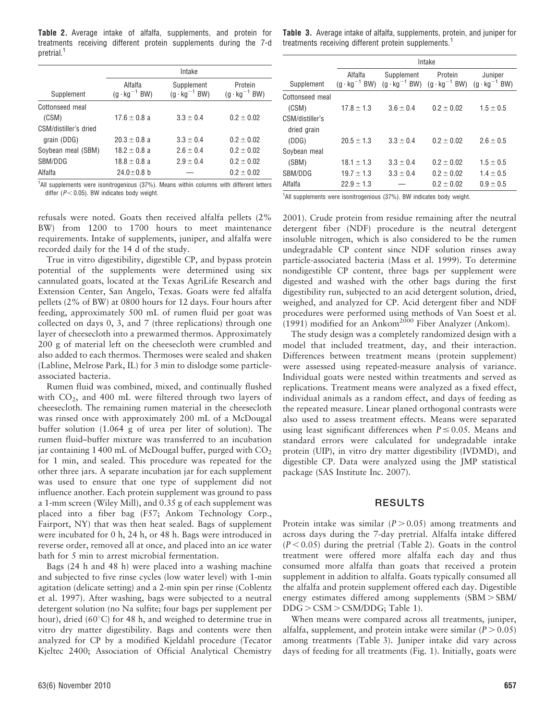Table 2. Average intake of alfalfa, supplements, and protein for treatments receiving different protein supplements during the 7-d pretrial.<sup>1</sup>

|                       | Intake                            |                                      |                                   |  |  |
|-----------------------|-----------------------------------|--------------------------------------|-----------------------------------|--|--|
| Supplement            | Alfalfa<br>$(g \cdot kg^{-1} BW)$ | Supplement<br>$(g \cdot kg^{-1} BW)$ | Protein<br>$(g \cdot kg^{-1} BW)$ |  |  |
| Cottonseed meal       |                                   |                                      |                                   |  |  |
| (CSM)                 | $17.6 \pm 0.8$ a                  | $3.3 \pm 0.4$                        | $0.2 \pm 0.02$                    |  |  |
| CSM/distiller's dried |                                   |                                      |                                   |  |  |
| grain (DDG)           | $20.3 + 0.8$ a                    | $3.3 + 0.4$                          | $0.2 + 0.02$                      |  |  |
| Soybean meal (SBM)    | $18.2 \pm 0.8$ a                  | $2.6 \pm 0.4$                        | $0.2 \pm 0.02$                    |  |  |
| SBM/DDG               | $18.8 \pm 0.8$ a                  | $2.9 + 0.4$                          | $0.2 \pm 0.02$                    |  |  |
| Alfalfa               | $24.0 \pm 0.8$ b                  |                                      | $0.2 \pm 0.02$                    |  |  |

Table 3. Average intake of alfalfa, supplements, protein, and juniper for treatments receiving different protein supplements.<sup>1</sup>

|                 | Intake         |                                                                                 |                |                                   |  |  |
|-----------------|----------------|---------------------------------------------------------------------------------|----------------|-----------------------------------|--|--|
| Supplement      | Alfalfa        | Supplement<br>$(g \cdot kg^{-1}BW)$ $(g \cdot kg^{-1}BW)$ $(g \cdot kg^{-1}BW)$ | Protein        | Juniper<br>$(q \cdot kq^{-1}$ BW) |  |  |
| Cottonseed meal |                |                                                                                 |                |                                   |  |  |
| (CSM)           | $17.8 \pm 1.3$ | $3.6 \pm 0.4$                                                                   | $0.2 \pm 0.02$ | $1.5 \pm 0.5$                     |  |  |
| CSM/distiller's |                |                                                                                 |                |                                   |  |  |
| dried grain     |                |                                                                                 |                |                                   |  |  |
| (DDG)           | $20.5 + 1.3$   | $3.3 + 0.4$                                                                     | $0.2 + 0.02$   | $2.6 + 0.5$                       |  |  |
| Soybean meal    |                |                                                                                 |                |                                   |  |  |
| (SBM)           | $18.1 \pm 1.3$ | $3.3 \pm 0.4$                                                                   | $0.2 \pm 0.02$ | $1.5 \pm 0.5$                     |  |  |
| SBM/DDG         | $19.7 + 1.3$   | $3.3 + 0.4$                                                                     | $0.2 + 0.02$   | $1.4 + 0.5$                       |  |  |
| Alfalfa         | $22.9 \pm 1.3$ |                                                                                 | $0.2 \pm 0.02$ | $0.9 \pm 0.5$                     |  |  |

<sup>1</sup>All supplements were isonitrogenious (37%). Means within columns with different letters differ ( $P < 0.05$ ). BW indicates body weight.

refusals were noted. Goats then received alfalfa pellets (2% BW) from 1200 to 1700 hours to meet maintenance requirements. Intake of supplements, juniper, and alfalfa were recorded daily for the 14 d of the study.

True in vitro digestibility, digestible CP, and bypass protein potential of the supplements were determined using six cannulated goats, located at the Texas AgriLife Research and Extension Center, San Angelo, Texas. Goats were fed alfalfa pellets (2% of BW) at 0800 hours for 12 days. Four hours after feeding, approximately 500 mL of rumen fluid per goat was collected on days 0, 3, and 7 (three replications) through one layer of cheesecloth into a prewarmed thermos. Approximately 200 g of material left on the cheesecloth were crumbled and also added to each thermos. Thermoses were sealed and shaken (Labline, Melrose Park, IL) for 3 min to dislodge some particleassociated bacteria.

Rumen fluid was combined, mixed, and continually flushed with  $CO<sub>2</sub>$ , and 400 mL were filtered through two layers of cheesecloth. The remaining rumen material in the cheesecloth was rinsed once with approximately 200 mL of a McDougal buffer solution (1.064 g of urea per liter of solution). The rumen fluid–buffer mixture was transferred to an incubation jar containing 1400 mL of McDougal buffer, purged with  $CO<sub>2</sub>$ for 1 min, and sealed. This procedure was repeated for the other three jars. A separate incubation jar for each supplement was used to ensure that one type of supplement did not influence another. Each protein supplement was ground to pass a 1-mm screen (Wiley Mill), and 0.35 g of each supplement was placed into a fiber bag (F57; Ankom Technology Corp., Fairport, NY) that was then heat sealed. Bags of supplement were incubated for 0 h, 24 h, or 48 h. Bags were introduced in reverse order, removed all at once, and placed into an ice water bath for 5 min to arrest microbial fermentation.

Bags (24 h and 48 h) were placed into a washing machine and subjected to five rinse cycles (low water level) with 1-min agitation (delicate setting) and a 2-min spin per rinse (Coblentz et al. 1997). After washing, bags were subjected to a neutral detergent solution (no Na sulfite; four bags per supplement per hour), dried (60 $^{\circ}$ C) for 48 h, and weighed to determine true in vitro dry matter digestibility. Bags and contents were then analyzed for CP by a modified Kjeldahl procedure (Tecator Kjeltec 2400; Association of Official Analytical Chemistry

<sup>1</sup>All supplements were isonitrogenious (37%). BW indicates body weight.

2001). Crude protein from residue remaining after the neutral detergent fiber (NDF) procedure is the neutral detergent insoluble nitrogen, which is also considered to be the rumen undegradable CP content since NDF solution rinses away particle-associated bacteria (Mass et al. 1999). To determine nondigestible CP content, three bags per supplement were digested and washed with the other bags during the first digestibility run, subjected to an acid detergent solution, dried, weighed, and analyzed for CP. Acid detergent fiber and NDF procedures were performed using methods of Van Soest et al.  $(1991)$  modified for an Ankom<sup>2000</sup> Fiber Analyzer (Ankom).

The study design was a completely randomized design with a model that included treatment, day, and their interaction. Differences between treatment means (protein supplement) were assessed using repeated-measure analysis of variance. Individual goats were nested within treatments and served as replications. Treatment means were analyzed as a fixed effect, individual animals as a random effect, and days of feeding as the repeated measure. Linear planed orthogonal contrasts were also used to assess treatment effects. Means were separated using least significant differences when  $P \le 0.05$ . Means and standard errors were calculated for undegradable intake protein (UIP), in vitro dry matter digestibility (IVDMD), and digestible CP. Data were analyzed using the JMP statistical package (SAS Institute Inc. 2007).

## RESULTS

Protein intake was similar  $(P > 0.05)$  among treatments and across days during the 7-day pretrial. Alfalfa intake differed  $(P < 0.05)$  during the pretrial (Table 2). Goats in the control treatment were offered more alfalfa each day and thus consumed more alfalfa than goats that received a protein supplement in addition to alfalfa. Goats typically consumed all the alfalfa and protein supplement offered each day. Digestible energy estimates differed among supplements  $(SBM > SBM)$  $DDG > CSM > CSM/DDG$ ; Table 1).

When means were compared across all treatments, juniper, alfalfa, supplement, and protein intake were similar ( $P > 0.05$ ) among treatments (Table 3). Juniper intake did vary across days of feeding for all treatments (Fig. 1). Initially, goats were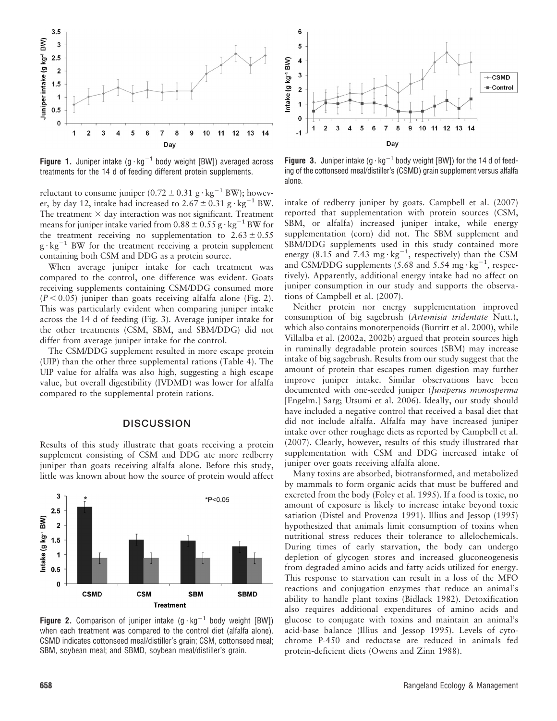

**Figure 1.** Juniper intake  $(g \cdot kg^{-1}$  body weight [BW]) averaged across treatments for the 14 d of feeding different protein supplements.

reluctant to consume juniper  $(0.72 \pm 0.31 \text{ g} \cdot \text{kg}^{-1} \text{BW})$ ; however, by day 12, intake had increased to  $2.67 \pm 0.31$  g  $\cdot$  kg<sup>-1</sup> BW. The treatment  $\times$  day interaction was not significant. Treatment means for juniper intake varied from  $0.88 \pm 0.55$  g  $\cdot$  kg<sup>-1</sup> BW for the treatment receiving no supplementation to  $2.63 \pm 0.55$  $g \cdot kg^{-1}$  BW for the treatment receiving a protein supplement containing both CSM and DDG as a protein source.

When average juniper intake for each treatment was compared to the control, one difference was evident. Goats receiving supplements containing CSM/DDG consumed more  $(P < 0.05)$  juniper than goats receiving alfalfa alone (Fig. 2). This was particularly evident when comparing juniper intake across the 14 d of feeding (Fig. 3). Average juniper intake for the other treatments (CSM, SBM, and SBM/DDG) did not differ from average juniper intake for the control.

The CSM/DDG supplement resulted in more escape protein (UIP) than the other three supplemental rations (Table 4). The UIP value for alfalfa was also high, suggesting a high escape value, but overall digestibility (IVDMD) was lower for alfalfa compared to the supplemental protein rations.

### **DISCUSSION**

Results of this study illustrate that goats receiving a protein supplement consisting of CSM and DDG ate more redberry juniper than goats receiving alfalfa alone. Before this study, little was known about how the source of protein would affect



Figure 2. Comparison of juniper intake  $(g \cdot kg^{-1}$  body weight [BW]) when each treatment was compared to the control diet (alfalfa alone). CSMD indicates cottonseed meal/distiller's grain; CSM, cottonseed meal; SBM, soybean meal; and SBMD, soybean meal/distiller's grain.



**Figure 3.** Juniper intake  $(g \cdot kg^{-1}$  body weight [BW]) for the 14 d of feeding of the cottonseed meal/distiller's (CSMD) grain supplement versus alfalfa alone.

intake of redberry juniper by goats. Campbell et al. (2007) reported that supplementation with protein sources (CSM, SBM, or alfalfa) increased juniper intake, while energy supplementation (corn) did not. The SBM supplement and SBM/DDG supplements used in this study contained more energy (8.15 and 7.43 mg·kg<sup>-1</sup>, respectively) than the CSM and CSM/DDG supplements (5.68 and 5.54 mg·kg<sup>-1</sup>, respectively). Apparently, additional energy intake had no affect on juniper consumption in our study and supports the observations of Campbell et al. (2007).

Neither protein nor energy supplementation improved consumption of big sagebrush (Artemisia tridentate Nutt.), which also contains monoterpenoids (Burritt et al. 2000), while Villalba et al. (2002a, 2002b) argued that protein sources high in ruminally degradable protein sources (SBM) may increase intake of big sagebrush. Results from our study suggest that the amount of protein that escapes rumen digestion may further improve juniper intake. Similar observations have been documented with one-seeded juniper (Juniperus monosperma [Engelm.] Sarg; Utsumi et al. 2006). Ideally, our study should have included a negative control that received a basal diet that did not include alfalfa. Alfalfa may have increased juniper intake over other roughage diets as reported by Campbell et al. (2007). Clearly, however, results of this study illustrated that supplementation with CSM and DDG increased intake of juniper over goats receiving alfalfa alone.

Many toxins are absorbed, biotransformed, and metabolized by mammals to form organic acids that must be buffered and excreted from the body (Foley et al. 1995). If a food is toxic, no amount of exposure is likely to increase intake beyond toxic satiation (Distel and Provenza 1991). Illius and Jessop (1995) hypothesized that animals limit consumption of toxins when nutritional stress reduces their tolerance to allelochemicals. During times of early starvation, the body can undergo depletion of glycogen stores and increased gluconeogenesis from degraded amino acids and fatty acids utilized for energy. This response to starvation can result in a loss of the MFO reactions and conjugation enzymes that reduce an animal's ability to handle plant toxins (Bidlack 1982). Detoxification also requires additional expenditures of amino acids and glucose to conjugate with toxins and maintain an animal's acid-base balance (Illius and Jessop 1995). Levels of cytochrome P-450 and reductase are reduced in animals fed protein-deficient diets (Owens and Zinn 1988).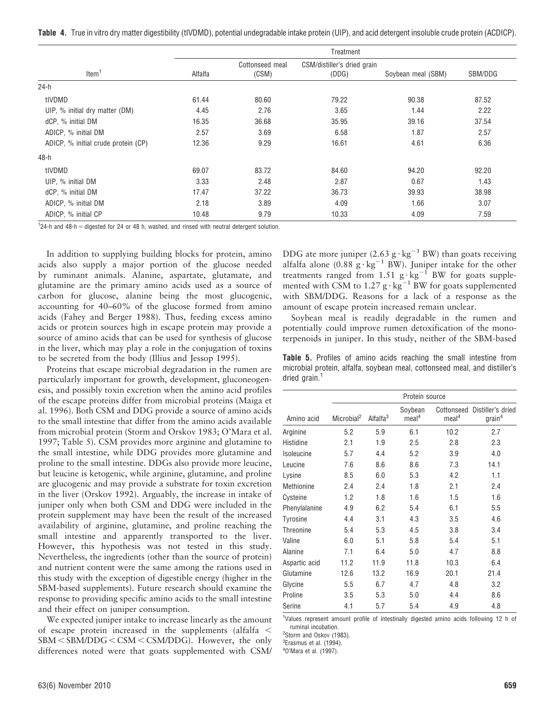Table 4. True in vitro dry matter digestibility (tIVDMD), potential undegradable intake protein (UIP), and acid detergent insoluble crude protein (ACDICP).

|                                     | Treatment |                          |                                      |                    |         |  |
|-------------------------------------|-----------|--------------------------|--------------------------------------|--------------------|---------|--|
| Item <sup>1</sup>                   | Alfalfa   | Cottonseed meal<br>(CSM) | CSM/distiller's dried grain<br>(DDG) | Soybean meal (SBM) | SBM/DDG |  |
| $24-h$                              |           |                          |                                      |                    |         |  |
| tIVDMD                              | 61.44     | 80.60                    | 79.22                                | 90.38              | 87.52   |  |
| UIP, % initial dry matter (DM)      | 4.45      | 2.76                     | 3.65                                 | 1.44               | 2.22    |  |
| dCP, % initial DM                   | 16.35     | 36.68                    | 35.95                                | 39.16              | 37.54   |  |
| ADICP, % initial DM                 | 2.57      | 3.69                     | 6.58                                 | 1.87               | 2.57    |  |
| ADICP, % initial crude protein (CP) | 12.36     | 9.29                     | 16.61                                | 4.61               | 6.36    |  |
| 48-h                                |           |                          |                                      |                    |         |  |
| tIVDMD                              | 69.07     | 83.72                    | 84.60                                | 94.20              | 92.20   |  |
| UIP, % initial DM                   | 3.33      | 2.48                     | 2.87                                 | 0.67               | 1.43    |  |
| dCP, % initial DM                   | 17.47     | 37.22                    | 36.73                                | 39.93              | 38.98   |  |
| ADICP, % initial DM                 | 2.18      | 3.89                     | 4.09                                 | 1.66               | 3.07    |  |
| ADICP, % initial CP                 | 10.48     | 9.79                     | 10.33                                | 4.09               | 7.59    |  |

 $124$ -h and 48-h = digested for 24 or 48 h, washed, and rinsed with neutral detergent solution.

In addition to supplying building blocks for protein, amino acids also supply a major portion of the glucose needed by ruminant animals. Alanine, aspartate, glutamate, and glutamine are the primary amino acids used as a source of carbon for glucose, alanine being the most glucogenic, accounting for 40–60% of the glucose formed from amino acids (Fahey and Berger 1988). Thus, feeding excess amino acids or protein sources high in escape protein may provide a source of amino acids that can be used for synthesis of glucose in the liver, which may play a role in the conjugation of toxins to be secreted from the body (Illius and Jessop 1995).

Proteins that escape microbial degradation in the rumen are particularly important for growth, development, gluconeogenesis, and possibly toxin excretion when the amino acid profiles of the escape proteins differ from microbial proteins (Maiga et al. 1996). Both CSM and DDG provide a source of amino acids to the small intestine that differ from the amino acids available from microbial protein (Storm and Orskov 1983; O'Mara et al. 1997; Table 5). CSM provides more arginine and glutamine to the small intestine, while DDG provides more glutamine and proline to the small intestine. DDGs also provide more leucine, but leucine is ketogenic, while arginine, glutamine, and proline are glucogenic and may provide a substrate for toxin excretion in the liver (Orskov 1992). Arguably, the increase in intake of juniper only when both CSM and DDG were included in the protein supplement may have been the result of the increased availability of arginine, glutamine, and proline reaching the small intestine and apparently transported to the liver. However, this hypothesis was not tested in this study. Nevertheless, the ingredients (other than the source of protein) and nutrient content were the same among the rations used in this study with the exception of digestible energy (higher in the SBM-based supplements). Future research should examine the response to providing specific amino acids to the small intestine and their effect on juniper consumption.

We expected juniper intake to increase linearly as the amount of escape protein increased in the supplements (alfalfa  $\leq$  $SBM < SBM/DDG < CSM < CSM/DDG$ ). However, the only differences noted were that goats supplemented with CSM/

DDG ate more juniper (2.63 g  $\cdot$  kg<sup>-1</sup> BW) than goats receiving alfalfa alone  $(0.88 \text{ g} \cdot \text{kg}^{-1} \text{ BW})$ . Juniper intake for the other treatments ranged from 1.51  $g \cdot kg^{-1}$  BW for goats supplemented with CSM to 1.27 g  $\cdot$  kg<sup>-1</sup> BW for goats supplemented with SBM/DDG. Reasons for a lack of a response as the amount of escape protein increased remain unclear.

Soybean meal is readily degradable in the rumen and potentially could improve rumen detoxification of the monoterpenoids in juniper. In this study, neither of the SBM-based

Table 5. Profiles of amino acids reaching the small intestine from microbial protein, alfalfa, soybean meal, cottonseed meal, and distiller's dried grain.<sup>1</sup>

|                  | Protein source         |                      |                              |                                 |                                         |
|------------------|------------------------|----------------------|------------------------------|---------------------------------|-----------------------------------------|
| Amino acid       | Microbial <sup>2</sup> | Alfalfa <sup>3</sup> | Soybean<br>meal <sup>4</sup> | Cottonseed<br>meal <sup>4</sup> | Distiller's dried<br>grain <sup>4</sup> |
| Arginine         | 5.2                    | 5.9                  | 6.1                          | 10.2                            | 2.7                                     |
| Histidine        | 2.1                    | 1.9                  | 2.5                          | 2.8                             | 2.3                                     |
| Isoleucine       | 5.7                    | 4.4                  | 5.2                          | 3.9                             | 4.0                                     |
| Leucine          | 7.6                    | 8.6                  | 8.6                          | 7.3                             | 14.1                                    |
| Lysine           | 8.5                    | 6.0                  | 5.3                          | 4.2                             | 1.1                                     |
| Methionine       | 2.4                    | 2.4                  | 1.8                          | 2.1                             | 2.4                                     |
| Cysteine         | 1.2                    | 1.8                  | 1.6                          | 1.5                             | 1.6                                     |
| Phenylalanine    | 4.9                    | 6.2                  | 5.4                          | 6.1                             | 5.5                                     |
| Tyrosine         | 4.4                    | 3.1                  | 4.3                          | 3.5                             | 4.6                                     |
| <b>Threonine</b> | 5.4                    | 5.3                  | 4.5                          | 3.8                             | 3.4                                     |
| Valine           | 6.0                    | 5.1                  | 5.8                          | 5.4                             | 5.1                                     |
| Alanine          | 7.1                    | 6.4                  | 5.0                          | 4.7                             | 8.8                                     |
| Aspartic acid    | 11.2                   | 11.9                 | 11.8                         | 10.3                            | 6.4                                     |
| Glutamine        | 12.6                   | 13.2                 | 16.9                         | 20.1                            | 21.4                                    |
| Glycine          | 5.5                    | 6.7                  | 4.7                          | 4.8                             | 3.2                                     |
| Proline          | 3.5                    | 5.3                  | 5.0                          | 4.4                             | 8.6                                     |
| Serine           | 4.1                    | 5.7                  | 5.4                          | 4.9                             | 4.8                                     |

<sup>1</sup>Values represent amount profile of intestinally digested amino acids following 12 h of ruminal incubation.

<sup>2</sup>Storm and Oskov (1983).

<sup>3</sup>Erasmus et al. (1994).

4 O'Mara et al. (1997).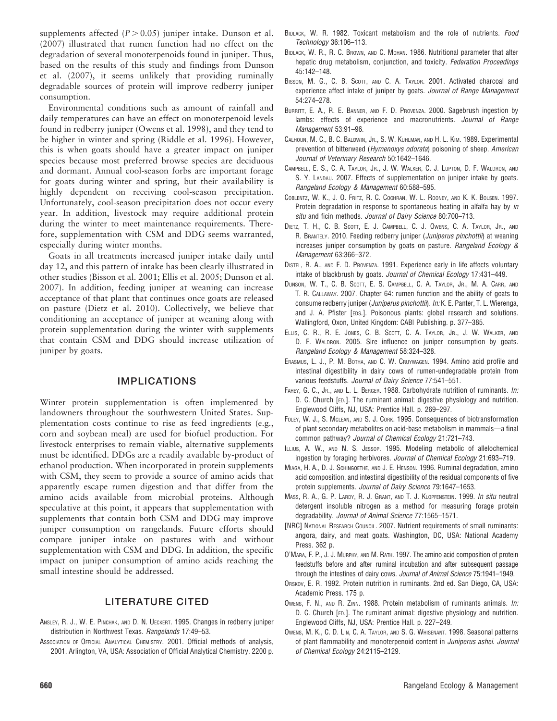supplements affected  $(P > 0.05)$  juniper intake. Dunson et al. (2007) illustrated that rumen function had no effect on the degradation of several monoterpenoids found in juniper. Thus, based on the results of this study and findings from Dunson et al. (2007), it seems unlikely that providing ruminally degradable sources of protein will improve redberry juniper consumption.

Environmental conditions such as amount of rainfall and daily temperatures can have an effect on monoterpenoid levels found in redberry juniper (Owens et al. 1998), and they tend to be higher in winter and spring (Riddle et al. 1996). However, this is when goats should have a greater impact on juniper species because most preferred browse species are deciduous and dormant. Annual cool-season forbs are important forage for goats during winter and spring, but their availability is highly dependent on receiving cool-season precipitation. Unfortunately, cool-season precipitation does not occur every year. In addition, livestock may require additional protein during the winter to meet maintenance requirements. Therefore, supplementation with CSM and DDG seems warranted, especially during winter months.

Goats in all treatments increased juniper intake daily until day 12, and this pattern of intake has been clearly illustrated in other studies (Bisson et al. 2001; Ellis et al. 2005; Dunson et al. 2007). In addition, feeding juniper at weaning can increase acceptance of that plant that continues once goats are released on pasture (Dietz et al. 2010). Collectively, we believe that conditioning an acceptance of juniper at weaning along with protein supplementation during the winter with supplements that contain CSM and DDG should increase utilization of juniper by goats.

# IMPLICATIONS

Winter protein supplementation is often implemented by landowners throughout the southwestern United States. Supplementation costs continue to rise as feed ingredients (e.g., corn and soybean meal) are used for biofuel production. For livestock enterprises to remain viable, alternative supplements must be identified. DDGs are a readily available by-product of ethanol production. When incorporated in protein supplements with CSM, they seem to provide a source of amino acids that apparently escape rumen digestion and that differ from the amino acids available from microbial proteins. Although speculative at this point, it appears that supplementation with supplements that contain both CSM and DDG may improve juniper consumption on rangelands. Future efforts should compare juniper intake on pastures with and without supplementation with CSM and DDG. In addition, the specific impact on juniper consumption of amino acids reaching the small intestine should be addressed.

# LITERATURE CITED

- ANSLEY, R. J., W. E. PINCHAK, AND D. N. UECKERT. 1995. Changes in redberry juniper distribution in Northwest Texas. Rangelands 17:49–53.
- ASSOCIATION OF OFFICIAL ANALYTICAL CHEMISTRY. 2001. Official methods of analysis, 2001. Arlington, VA, USA: Association of Official Analytical Chemistry. 2200 p.
- BIDLACK, W. R. 1982. Toxicant metabolism and the role of nutrients. Food Technology 36:106–113.
- BIDLACK, W. R., R. C. BROWN, AND C. MOHAN. 1986. Nutritional parameter that alter hepatic drug metabolism, conjunction, and toxicity. Federation Proceedings 45:142–148.
- BISSON, M. G., C. B. SCOTT, AND C. A. TAYLOR. 2001. Activated charcoal and experience affect intake of juniper by goats. Journal of Range Management 54:274–278.
- BURRITT, E. A., R. E. BANNER, AND F. D. PROVENZA. 2000. Sagebrush ingestion by lambs: effects of experience and macronutrients. Journal of Range Management 53:91–96.
- CALHOUN, M. C., B. C. BALDWIN, JR., S. W. KUHLMAN, AND H. L. KIM. 1989. Experimental prevention of bitterweed (Hymenoxys odorata) poisoning of sheep. American Journal of Veterinary Research 50:1642–1646.
- CAMPBELL, E. S., C. A. TAYLOR, JR., J. W. WALKER, C. J. LUPTON, D. F. WALDRON, AND S. Y. LANDAU. 2007. Effects of supplementation on juniper intake by goats. Rangeland Ecology & Management 60:588–595.
- COBLENTZ, W. K., J. O. FRITZ, R. C. COCHRAN, W. L. ROONEY, AND K. K. BOLSEN. 1997. Protein degradation in response to spontaneous heating in alfalfa hay by in situ and ficin methods. Journal of Dairy Science 80:700-713.
- DIETZ, T. H., C. B. SCOTT, E. J. CAMPBELL, C. J. OWENS, C. A. TAYLOR, JR., AND R. BRANTELY. 2010. Feeding redberry juniper (*Juniperus pinchottii*) at weaning increases juniper consumption by goats on pasture. Rangeland Ecology & Management 63:366–372.
- DISTEL, R. A., AND F. D. PROVENZA. 1991. Experience early in life affects voluntary intake of blackbrush by goats. Journal of Chemical Ecology 17:431–449.
- DUNSON, W. T., C. B. SCOTT, E. S. CAMPBELL, C. A. TAYLOR, JR., M. A. CARR, AND T. R. CALLAWAY. 2007. Chapter 64: rumen function and the ability of goats to consume redberry juniper (Juniperus pinchottii). In: K. E. Panter, T. L. Wierenga, and J. A. Pfister [EDS.]. Poisonous plants: global research and solutions. Wallingford, Oxon, United Kingdom: CABI Publishing. p. 377–385.
- ELLIS, C. R., R. E. JONES, C. B. SCOTT, C. A. TAYLOR, JR., J. W. WALKER, AND D. F. WALDRON. 2005. Sire influence on juniper consumption by goats. Rangeland Ecology & Management 58:324–328.
- ERASMUS, L. J., P. M. BOTHA, AND C. W. CRUYWAGEN. 1994. Amino acid profile and intestinal digestibility in dairy cows of rumen-undegradable protein from various feedstuffs. Journal of Dairy Science 77:541–551.
- FAHEY, G. C., JR., AND L. L. BERGER. 1988. Carbohydrate nutrition of ruminants. In: D. C. Church [ED.]. The ruminant animal: digestive physiology and nutrition. Englewood Cliffs, NJ, USA: Prentice Hall. p. 269–297.
- FOLEY, W. J., S. MCLEAN, AND S. J. CORK. 1995. Consequences of biotransformation of plant secondary metabolites on acid-base metabolism in mammals—a final common pathway? Journal of Chemical Ecology 21:721–743.
- ILLIUS, A. W., AND N. S. JESSOP. 1995. Modeling metabolic of allelochemical ingestion by foraging herbivores. Journal of Chemical Ecology 21:693–719.
- MIAGA, H. A., D. J. SCHINGOETHE, AND J. E. HENSON. 1996. Ruminal degradation, amino acid composition, and intestinal digestibility of the residual components of five protein supplements. Journal of Dairy Science 79:1647–1653.
- MASS, R. A., G. P. LARDY, R. J. GRANT, AND T. J. KLOPFENSTEIN. 1999. In situ neutral detergent insoluble nitrogen as a method for measuring forage protein degradability. Journal of Animal Science 77:1565–1571.
- [NRC] NATIONAL RESEARCH COUNCIL. 2007. Nutrient requirements of small ruminants: angora, dairy, and meat goats. Washington, DC, USA: National Academy Press. 362 p.
- O'MARA, F. P., J. J. MURPHY, AND M. RATH. 1997. The amino acid composition of protein feedstuffs before and after ruminal incubation and after subsequent passage through the intestines of dairy cows. Journal of Animal Science 75:1941–1949.
- ORSKOV, E. R. 1992. Protein nutrition in ruminants. 2nd ed. San Diego, CA, USA: Academic Press. 175 p.
- OWENS, F. N., AND R. ZINN. 1988. Protein metabolism of ruminants animals. In: D. C. Church [ED.]. The ruminant animal: digestive physiology and nutrition. Englewood Cliffs, NJ, USA: Prentice Hall. p. 227–249.
- OWENS, M. K., C. D. LIN, C. A. TAYLOR, AND S. G. WHISENANT. 1998. Seasonal patterns of plant flammability and monoterpenoid content in Juniperus ashei. Journal of Chemical Ecology 24:2115–2129.